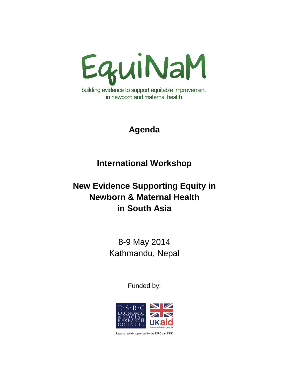

## **Agenda**

## **International Workshop**

# **New Evidence Supporting Equity in Newborn & Maternal Health in South Asia**

8-9 May 2014 Kathmandu, Nepal

Funded by:



Research jointly supported by the ESRC and DFID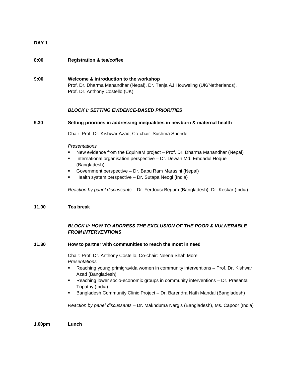## **DAY 1**

## **8:00 Registration & tea/coffee**

**9:00 Welcome & introduction to the workshop** Prof. Dr. Dharma Manandhar (Nepal), Dr. Tanja AJ Houweling (UK/Netherlands), Prof. Dr. Anthony Costello (UK)

## *BLOCK I: SETTING EVIDENCE-BASED PRIORITIES*

### **9.30 Setting priorities in addressing inequalities in newborn & maternal health**

Chair: Prof. Dr. Kishwar Azad, Co-chair: Sushma Shende

#### *Presentations*

- New evidence from the EquiNaM project Prof. Dr. Dharma Manandhar (Nepal)
- International organisation perspective Dr. Dewan Md. Emdadul Hoque (Bangladesh)
- Government perspective Dr. Babu Ram Marasini (Nepal)
- Health system perspective Dr. Sutapa Neogi (India)

*Reaction by panel discussants* – Dr. Ferdousi Begum (Bangladesh), Dr. Keskar (India)

### **11.00 Tea break**

## *BLOCK II: HOW TO ADDRESS THE EXCLUSION OF THE POOR & VULNERABLE FROM INTERVENTIONS*

#### **11.30 How to partner with communities to reach the most in need**

Chair: Prof. Dr. Anthony Costello, Co-chair: Neena Shah More *Presentations* 

- Reaching young primigravida women in community interventions Prof. Dr. Kishwar Azad (Bangladesh)
- Reaching lower socio-economic groups in community interventions Dr. Prasanta Tripathy (India)
- Bangladesh Community Clinic Project Dr. Barendra Nath Mandal (Bangladesh)

*Reaction by panel discussants* – Dr. Makhduma Nargis (Bangladesh), Ms. Capoor (India)

**1.00pm Lunch**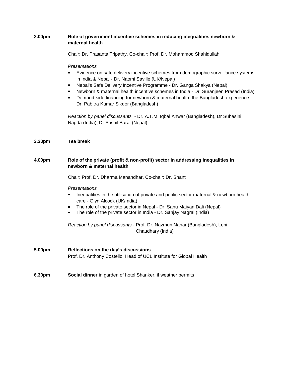| 2.00pm | Role of government incentive schemes in reducing inequalities newborn &<br>maternal health                                                                                                                                                                                                                                                                                                                                                                            |
|--------|-----------------------------------------------------------------------------------------------------------------------------------------------------------------------------------------------------------------------------------------------------------------------------------------------------------------------------------------------------------------------------------------------------------------------------------------------------------------------|
|        | Chair: Dr. Prasanta Tripathy, Co-chair: Prof. Dr. Mohammod Shahidullah                                                                                                                                                                                                                                                                                                                                                                                                |
|        | Presentations<br>Evidence on safe delivery incentive schemes from demographic surveillance systems<br>٠<br>in India & Nepal - Dr. Naomi Saville (UK/Nepal)<br>Nepal's Safe Delivery Incentive Programme - Dr. Ganga Shakya (Nepal)<br>٠<br>Newborn & maternal health incentive schemes in India - Dr. Suranjeen Prasad (India)<br>٠<br>Demand-side financing for newborn & maternal health: the Bangladesh experience -<br>٠<br>Dr. Pabitra Kumar Sikder (Bangladesh) |
|        | Reaction by panel discussants - Dr. A.T.M. Iqbal Anwar (Bangladesh), Dr Suhasini<br>Nagda (India), Dr.Sushil Baral (Nepal)                                                                                                                                                                                                                                                                                                                                            |
| 3.30pm | <b>Tea break</b>                                                                                                                                                                                                                                                                                                                                                                                                                                                      |
| 4.00pm | Role of the private (profit & non-profit) sector in addressing inequalities in<br>newborn & maternal health                                                                                                                                                                                                                                                                                                                                                           |
|        | Chair: Prof. Dr. Dharma Manandhar, Co-chair: Dr. Shanti                                                                                                                                                                                                                                                                                                                                                                                                               |
|        | Presentations<br>Inequalities in the utilisation of private and public sector maternal & newborn health<br>care - Glyn Alcock (UK/India)                                                                                                                                                                                                                                                                                                                              |
|        | The role of the private sector in Nepal - Dr. Sanu Maiyan Dali (Nepal)<br>٠<br>The role of the private sector in India - Dr. Sanjay Nagral (India)<br>٠                                                                                                                                                                                                                                                                                                               |
|        | Reaction by panel discussants - Prof. Dr. Nazmun Nahar (Bangladesh), Leni<br>Chaudhary (India)                                                                                                                                                                                                                                                                                                                                                                        |
| 5.00pm | Reflections on the day's discussions<br>Prof. Dr. Anthony Costello, Head of UCL Institute for Global Health                                                                                                                                                                                                                                                                                                                                                           |
| 6.30pm | Social dinner in garden of hotel Shanker, if weather permits                                                                                                                                                                                                                                                                                                                                                                                                          |